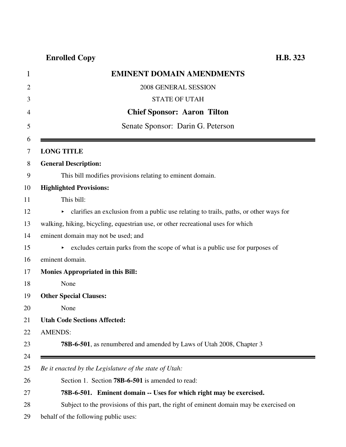# **Enrolled Copy H.B. 323**

| <b>EMINENT DOMAIN AMENDMENTS</b>                                                           |
|--------------------------------------------------------------------------------------------|
| 2008 GENERAL SESSION                                                                       |
| <b>STATE OF UTAH</b>                                                                       |
| <b>Chief Sponsor: Aaron Tilton</b>                                                         |
| Senate Sponsor: Darin G. Peterson                                                          |
|                                                                                            |
| <b>LONG TITLE</b>                                                                          |
| <b>General Description:</b>                                                                |
| This bill modifies provisions relating to eminent domain.                                  |
| <b>Highlighted Provisions:</b>                                                             |
| This bill:                                                                                 |
| clarifies an exclusion from a public use relating to trails, paths, or other ways for<br>▶ |
| walking, hiking, bicycling, equestrian use, or other recreational uses for which           |
| eminent domain may not be used; and                                                        |
| • excludes certain parks from the scope of what is a public use for purposes of            |
| eminent domain.                                                                            |
| <b>Monies Appropriated in this Bill:</b>                                                   |
| None                                                                                       |
| <b>Other Special Clauses:</b>                                                              |
| None                                                                                       |
| <b>Utah Code Sections Affected:</b>                                                        |
| <b>AMENDS:</b>                                                                             |
| <b>78B-6-501</b> , as renumbered and amended by Laws of Utah 2008, Chapter 3               |
|                                                                                            |
| Be it enacted by the Legislature of the state of Utah:                                     |
| Section 1. Section <b>78B-6-501</b> is amended to read:                                    |
| 78B-6-501. Eminent domain -- Uses for which right may be exercised.                        |
| Subject to the provisions of this part, the right of eminent domain may be exercised on    |
| behalf of the following public uses:                                                       |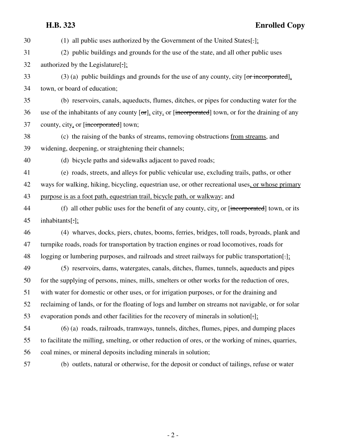## **H.B. 323 Enrolled Copy**

| 30 | (1) all public uses authorized by the Government of the United States [: $\cdot$ ]:                          |
|----|--------------------------------------------------------------------------------------------------------------|
| 31 | (2) public buildings and grounds for the use of the state, and all other public uses                         |
| 32 | authorized by the Legislature[ $\cdot$ ]:                                                                    |
| 33 | $(3)$ (a) public buildings and grounds for the use of any county, city [or incorporated].                    |
| 34 | town, or board of education;                                                                                 |
| 35 | (b) reservoirs, canals, aqueducts, flumes, ditches, or pipes for conducting water for the                    |
| 36 | use of the inhabitants of any county $[\sigma r]$ , city, or [incorporated] town, or for the draining of any |
| 37 | county, city, or [incorporated] town;                                                                        |
| 38 | (c) the raising of the banks of streams, removing obstructions from streams, and                             |
| 39 | widening, deepening, or straightening their channels;                                                        |
| 40 | (d) bicycle paths and sidewalks adjacent to paved roads;                                                     |
| 41 | (e) roads, streets, and alleys for public vehicular use, excluding trails, paths, or other                   |
| 42 | ways for walking, hiking, bicycling, equestrian use, or other recreational uses, or whose primary            |
| 43 | purpose is as a foot path, equestrian trail, bicycle path, or walkway; and                                   |
| 44 | (f) all other public uses for the benefit of any county, city, or [incorporated] town, or its                |
| 45 | inhabitants[.];                                                                                              |
| 46 | (4) wharves, docks, piers, chutes, booms, ferries, bridges, toll roads, byroads, plank and                   |
| 47 | turnpike roads, roads for transportation by traction engines or road locomotives, roads for                  |
| 48 | logging or lumbering purposes, and railroads and street railways for public transportation[-].               |
| 49 | (5) reservoirs, dams, watergates, canals, ditches, flumes, tunnels, aqueducts and pipes                      |
| 50 | for the supplying of persons, mines, mills, smelters or other works for the reduction of ores,               |
| 51 | with water for domestic or other uses, or for irrigation purposes, or for the draining and                   |
| 52 | reclaiming of lands, or for the floating of logs and lumber on streams not navigable, or for solar           |
| 53 | evaporation ponds and other facilities for the recovery of minerals in solution[-];                          |
| 54 | (6) (a) roads, railroads, tramways, tunnels, ditches, flumes, pipes, and dumping places                      |
| 55 | to facilitate the milling, smelting, or other reduction of ores, or the working of mines, quarries,          |
| 56 | coal mines, or mineral deposits including minerals in solution;                                              |
| 57 | (b) outlets, natural or otherwise, for the deposit or conduct of tailings, refuse or water                   |
|    |                                                                                                              |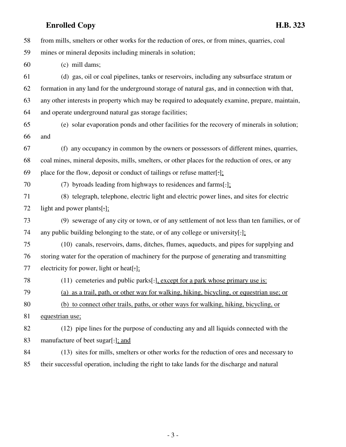### **Enrolled Copy H.B. 323**

| 58 | from mills, smelters or other works for the reduction of ores, or from mines, quarries, coal     |
|----|--------------------------------------------------------------------------------------------------|
| 59 | mines or mineral deposits including minerals in solution;                                        |
| 60 | (c) mill dams;                                                                                   |
| 61 | (d) gas, oil or coal pipelines, tanks or reservoirs, including any subsurface stratum or         |
| 62 | formation in any land for the underground storage of natural gas, and in connection with that,   |
| 63 | any other interests in property which may be required to adequately examine, prepare, maintain,  |
| 64 | and operate underground natural gas storage facilities;                                          |
| 65 | (e) solar evaporation ponds and other facilities for the recovery of minerals in solution;       |
| 66 | and                                                                                              |
| 67 | (f) any occupancy in common by the owners or possessors of different mines, quarries,            |
| 68 | coal mines, mineral deposits, mills, smelters, or other places for the reduction of ores, or any |
| 69 | place for the flow, deposit or conduct of tailings or refuse matter[-];                          |
| 70 | (7) byroads leading from highways to residences and farms[.];                                    |
| 71 | (8) telegraph, telephone, electric light and electric power lines, and sites for electric        |
| 72 | light and power plants[ $:$ ];                                                                   |
| 73 | (9) sewerage of any city or town, or of any settlement of not less than ten families, or of      |
| 74 | any public building belonging to the state, or of any college or university[.]:                  |
| 75 | (10) canals, reservoirs, dams, ditches, flumes, aqueducts, and pipes for supplying and           |
| 76 | storing water for the operation of machinery for the purpose of generating and transmitting      |
| 77 | electricity for power, light or heat[.];                                                         |
| 78 | $(11)$ cemeteries and public parks[ $\cdot$ ], except for a park whose primary use is:           |
| 79 | (a) as a trail, path, or other way for walking, hiking, bicycling, or equestrian use; or         |
| 80 | (b) to connect other trails, paths, or other ways for walking, hiking, bicycling, or             |
| 81 | equestrian use;                                                                                  |
| 82 | (12) pipe lines for the purpose of conducting any and all liquids connected with the             |
| 83 | manufacture of beet sugar[-]; and                                                                |
| 84 | (13) sites for mills, smelters or other works for the reduction of ores and necessary to         |
| 85 | their successful operation, including the right to take lands for the discharge and natural      |